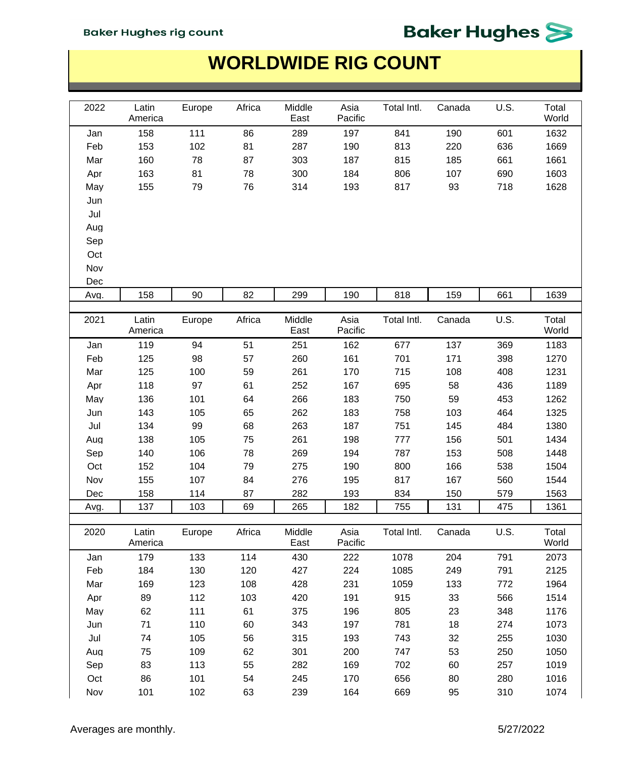#### **Baker Hughes rig count**

# **Baker Hughes**

| 2022 | Latin<br>America | Europe | Africa | Middle<br>East | Asia<br>Pacific | Total Intl. | Canada | U.S. | Total<br>World |
|------|------------------|--------|--------|----------------|-----------------|-------------|--------|------|----------------|
| Jan  | 158              | 111    | 86     | 289            | 197             | 841         | 190    | 601  | 1632           |
| Feb  | 153              | 102    | 81     | 287            | 190             | 813         | 220    | 636  | 1669           |
| Mar  | 160              | 78     | 87     | 303            | 187             | 815         | 185    | 661  | 1661           |
| Apr  | 163              | 81     | 78     | 300            | 184             | 806         | 107    | 690  | 1603           |
| May  | 155              | 79     | 76     | 314            | 193             | 817         | 93     | 718  | 1628           |
| Jun  |                  |        |        |                |                 |             |        |      |                |
| Jul  |                  |        |        |                |                 |             |        |      |                |
| Aug  |                  |        |        |                |                 |             |        |      |                |
| Sep  |                  |        |        |                |                 |             |        |      |                |
| Oct  |                  |        |        |                |                 |             |        |      |                |
| Nov  |                  |        |        |                |                 |             |        |      |                |
| Dec  |                  |        |        |                |                 |             |        |      |                |
| Avg. | 158              | 90     | 82     | 299            | 190             | 818         | 159    | 661  | 1639           |
|      |                  |        |        |                |                 |             |        |      |                |
| 2021 | Latin<br>America | Europe | Africa | Middle<br>East | Asia<br>Pacific | Total Intl. | Canada | U.S. | Total<br>World |
| Jan  | 119              | 94     | 51     | 251            | 162             | 677         | 137    | 369  | 1183           |
| Feb  | 125              | 98     | 57     | 260            | 161             | 701         | 171    | 398  | 1270           |
| Mar  | 125              | 100    | 59     | 261            | 170             | 715         | 108    | 408  | 1231           |
| Apr  | 118              | 97     | 61     | 252            | 167             | 695         | 58     | 436  | 1189           |
| May  | 136              | 101    | 64     | 266            | 183             | 750         | 59     | 453  | 1262           |
| Jun  | 143              | 105    | 65     | 262            | 183             | 758         | 103    | 464  | 1325           |
| Jul  | 134              | 99     | 68     | 263            | 187             | 751         | 145    | 484  | 1380           |
| Aug  | 138              | 105    | 75     | 261            | 198             | 777         | 156    | 501  | 1434           |
| Sep  | 140              | 106    | 78     | 269            | 194             | 787         | 153    | 508  | 1448           |
| Oct  | 152              | 104    | 79     | 275            | 190             | 800         | 166    | 538  | 1504           |
| Nov  | 155              | 107    | 84     | 276            | 195             | 817         | 167    | 560  | 1544           |
| Dec  | 158              | 114    | 87     | 282            | 193             | 834         | 150    | 579  | 1563           |
| Avg. | 137              | 103    | 69     | 265            | 182             | 755         | 131    | 475  | 1361           |
|      |                  |        |        |                |                 |             |        |      |                |
| 2020 | Latin<br>America | Europe | Africa | Middle<br>East | Asia<br>Pacific | Total Intl. | Canada | U.S. | Total<br>World |
| Jan  | 179              | 133    | 114    | 430            | 222             | 1078        | 204    | 791  | 2073           |
| Feb  | 184              | 130    | 120    | 427            | 224             | 1085        | 249    | 791  | 2125           |
| Mar  | 169              | 123    | 108    | 428            | 231             | 1059        | 133    | 772  | 1964           |
| Apr  | 89               | 112    | 103    | 420            | 191             | 915         | 33     | 566  | 1514           |
| May  | 62               | 111    | 61     | 375            | 196             | 805         | 23     | 348  | 1176           |
| Jun  | 71               | 110    | 60     | 343            | 197             | 781         | 18     | 274  | 1073           |
| Jul  | 74               | 105    | 56     | 315            | 193             | 743         | 32     | 255  | 1030           |
| Aug  | 75               | 109    | 62     | 301            | 200             | 747         | 53     | 250  | 1050           |
| Sep  | 83               | 113    | 55     | 282            | 169             | 702         | 60     | 257  | 1019           |
| Oct  | 86               | 101    | 54     | 245            | 170             | 656         | 80     | 280  | 1016           |
| Nov  | 101              | 102    | 63     | 239            | 164             | 669         | 95     | 310  | 1074           |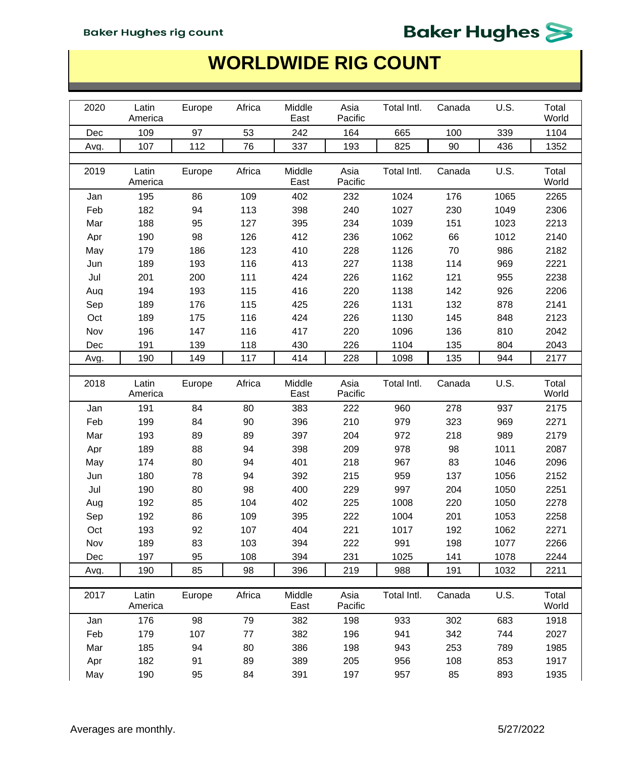| 2020 | Latin<br>America | Europe          | Africa | Middle<br>East | Asia<br>Pacific | Total Intl. | Canada | U.S. | Total<br>World |
|------|------------------|-----------------|--------|----------------|-----------------|-------------|--------|------|----------------|
| Dec  | 109              | 97              | 53     | 242            | 164             | 665         | 100    | 339  | 1104           |
| Avg. | 107              | 112             | 76     | 337            | 193             | 825         | 90     | 436  | 1352           |
|      |                  |                 |        |                |                 |             |        |      |                |
| 2019 | Latin<br>America | Europe          | Africa | Middle<br>East | Asia<br>Pacific | Total Intl. | Canada | U.S. | Total<br>World |
| Jan  | 195              | 86              | 109    | 402            | 232             | 1024        | 176    | 1065 | 2265           |
| Feb  | 182              | 94              | 113    | 398            | 240             | 1027        | 230    | 1049 | 2306           |
| Mar  | 188              | 95              | 127    | 395            | 234             | 1039        | 151    | 1023 | 2213           |
| Apr  | 190              | 98              | 126    | 412            | 236             | 1062        | 66     | 1012 | 2140           |
| May  | 179              | 186             | 123    | 410            | 228             | 1126        | 70     | 986  | 2182           |
| Jun  | 189              | 193             | 116    | 413            | 227             | 1138        | 114    | 969  | 2221           |
| Jul  | 201              | 200             | 111    | 424            | 226             | 1162        | 121    | 955  | 2238           |
| Aug  | 194              | 193             | 115    | 416            | 220             | 1138        | 142    | 926  | 2206           |
| Sep  | 189              | 176             | 115    | 425            | 226             | 1131        | 132    | 878  | 2141           |
| Oct  | 189              | 175             | 116    | 424            | 226             | 1130        | 145    | 848  | 2123           |
| Nov  | 196              | 147             | 116    | 417            | 220             | 1096        | 136    | 810  | 2042           |
| Dec  | 191              | 139             | 118    | 430            | 226             | 1104        | 135    | 804  | 2043           |
| Avg. | 190              | 149             | 117    | 414            | 228             | 1098        | 135    | 944  | 2177           |
|      |                  |                 |        |                |                 |             |        |      |                |
| 2018 | Latin<br>America | Europe          | Africa | Middle<br>East | Asia<br>Pacific | Total Intl. | Canada | U.S. | Total<br>World |
| Jan  | 191              | 84              | 80     | 383            | 222             | 960         | 278    | 937  | 2175           |
| Feb  | 199              | 84              | 90     | 396            | 210             | 979         | 323    | 969  | 2271           |
| Mar  | 193              | 89              | 89     | 397            | 204             | 972         | 218    | 989  | 2179           |
| Apr  | 189              | 88              | 94     | 398            | 209             | 978         | 98     | 1011 | 2087           |
| May  | 174              | 80              | 94     | 401            | 218             | 967         | 83     | 1046 | 2096           |
| Jun  | 180              | 78              | 94     | 392            | 215             | 959         | 137    | 1056 | 2152           |
| Jul  | 190              | 80              | 98     | 400            | 229             | 997         | 204    | 1050 | 2251           |
| Aug  | 192              | 85              | 104    | 402            | 225             | 1008        | 220    | 1050 | 2278           |
| Sep  | 192              | 86              | 109    | 395            | 222             | 1004        | 201    | 1053 | 2258           |
| Oct  | 193              | 92              | 107    | 404            | 221             | 1017        | 192    | 1062 | 2271           |
| Nov  | 189              | 83              | 103    | 394            | 222             | 991         | 198    | 1077 | 2266           |
| Dec  | 197              | 95              | 108    | 394            | 231             | 1025        | 141    | 1078 | 2244           |
| Avg. | 190              | $\overline{85}$ | 98     | 396            | 219             | 988         | 191    | 1032 | 2211           |
|      |                  |                 |        |                |                 |             |        |      |                |
| 2017 | Latin<br>America | Europe          | Africa | Middle<br>East | Asia<br>Pacific | Total Intl. | Canada | U.S. | Total<br>World |
| Jan  | 176              | 98              | 79     | 382            | 198             | 933         | 302    | 683  | 1918           |
| Feb  | 179              | 107             | 77     | 382            | 196             | 941         | 342    | 744  | 2027           |
| Mar  | 185              | 94              | 80     | 386            | 198             | 943         | 253    | 789  | 1985           |
| Apr  | 182              | 91              | 89     | 389            | 205             | 956         | 108    | 853  | 1917           |
| May  | 190              | 95              | 84     | 391            | 197             | 957         | 85     | 893  | 1935           |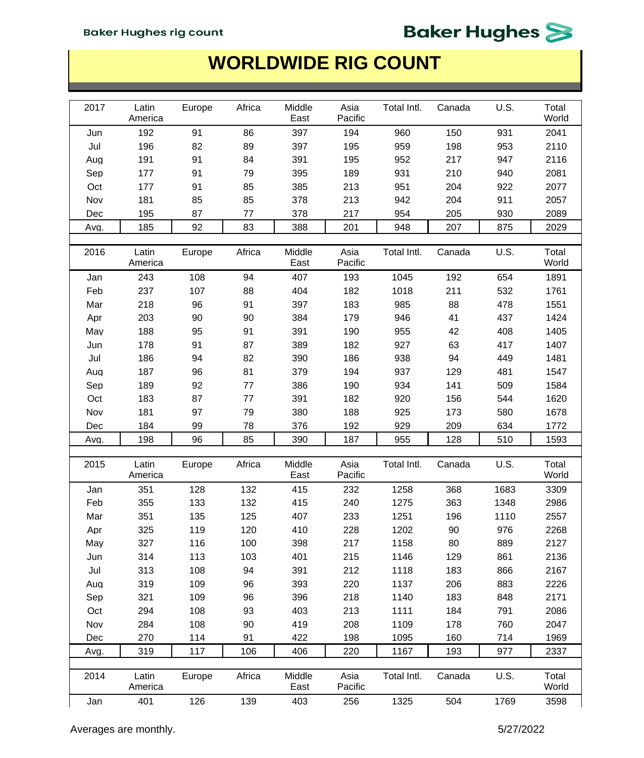#### **WORLDWIDE RIG COUNT**

| 2017 | Latin<br>America        | Europe        | Africa        | Middle<br>East        | Asia<br>Pacific | Total Intl.         | Canada | U.S.         | Total<br>World |
|------|-------------------------|---------------|---------------|-----------------------|-----------------|---------------------|--------|--------------|----------------|
| Jun  | 192                     | 91            | 86            | 397                   | 194             | 960                 | 150    | 931          | 2041           |
| Jul  | 196                     | 82            | 89            | 397                   | 195             | 959                 | 198    | 953          | 2110           |
| Aug  | 191                     | 91            | 84            | 391                   | 195             | 952                 | 217    | 947          | 2116           |
| Sep  | 177                     | 91            | 79            | 395                   | 189             | 931                 | 210    | 940          | 2081           |
| Oct  | 177                     | 91            | 85            | 385                   | 213             | 951                 | 204    | 922          | 2077           |
| Nov  | 181                     | 85            | 85            | 378                   | 213             | 942                 | 204    | 911          | 2057           |
| Dec  | 195                     | 87            | 77            | 378                   | 217             | 954                 | 205    | 930          | 2089           |
| Avg. | 185                     | 92            | 83            | 388                   | 201             | 948                 | 207    | 875          | 2029           |
|      |                         |               |               |                       |                 |                     |        |              |                |
| 2016 | Latin<br>America        | Europe        | Africa        | Middle<br>East        | Asia<br>Pacific | Total Intl.         | Canada | U.S.         | Total<br>World |
| Jan  | 243                     | 108           | 94            | 407                   | 193             | 1045                | 192    | 654          | 1891           |
| Feb  | 237                     | 107           | 88            | 404                   | 182             | 1018                | 211    | 532          | 1761           |
| Mar  | 218                     | 96            | 91            | 397                   | 183             | 985                 | 88     | 478          | 1551           |
| Apr  | 203                     | 90            | 90            | 384                   | 179             | 946                 | 41     | 437          | 1424           |
| May  | 188                     | 95            | 91            | 391                   | 190             | 955                 | 42     | 408          | 1405           |
| Jun  | 178                     | 91            | 87            | 389                   | 182             | 927                 | 63     | 417          | 1407           |
| Jul  | 186                     | 94            | 82            | 390                   | 186             | 938                 | 94     | 449          | 1481           |
| Aug  | 187                     | 96            | 81            | 379                   | 194             | 937                 | 129    | 481          | 1547           |
| Sep  | 189                     | 92            | 77            | 386                   | 190             | 934                 | 141    | 509          | 1584           |
| Oct  | 183                     | 87            | 77            | 391                   | 182             | 920                 | 156    | 544          | 1620           |
| Nov  | 181                     | 97            | 79            | 380                   | 188             | 925                 | 173    | 580          | 1678           |
| Dec  | 184                     | 99            | 78            | 376                   | 192             | 929                 | 209    | 634          | 1772           |
| Avg. | 198                     | 96            | 85            | 390                   | 187             | 955                 | 128    | 510          | 1593           |
|      |                         |               |               |                       |                 |                     |        |              |                |
| 2015 | Latin<br>America        | Europe        | Africa        | Middle<br>East        | Asia<br>Pacific | Total Intl.         | Canada | U.S.         | Total<br>World |
| Jan  | 351                     | 128           | 132           | 415                   | 232             | 1258                | 368    | 1683         | 3309           |
| Feb  | 355                     | 133           | 132           | 415                   | 240             | 1275                | 363    | 1348         | 2986           |
| Mar  | 351                     | 135           | 125           | 407                   | 233             | 1251                | 196    | 1110         | 2557           |
| Apr  | 325                     | 119           | 120           | 410                   | 228             | 1202                | 90     | 976          | 2268           |
| May  | 327                     | 116           | 100           | 398                   | 217             | 1158                | 80     | 889          | 2127           |
| Jun  | 314                     | 113           | 103           | 401                   | 215             | 1146                | 129    | 861          | 2136           |
| Jul  | 313                     | 108           | 94            | 391                   | 212             | 1118                | 183    | 866          | 2167           |
| Aug  | 319                     | 109           | 96            | 393                   | 220             | 1137                | 206    | 883          | 2226           |
| Sep  |                         |               |               |                       |                 |                     |        |              |                |
|      | 321                     | 109           | 96            | 396                   | 218             | 1140                | 183    | 848          | 2171           |
| Oct  | 294                     | 108           | 93            | 403                   | 213             | 1111                | 184    | 791          | 2086           |
| Nov  | 284                     | 108           | 90            | 419                   | 208             | 1109                | 178    | 760          | 2047           |
| Dec  | 270                     | 114           | 91            | 422                   | 198             | 1095                | 160    | 714          | 1969           |
| Avg. | 319                     | 117           | 106           | 406                   | 220             | 1167                | 193    | 977          | 2337           |
|      |                         |               |               |                       |                 |                     |        |              |                |
| 2014 | Latin<br>America<br>401 | Europe<br>126 | Africa<br>139 | Middle<br>East<br>403 | Asia<br>Pacific | Total Intl.<br>1325 | Canada | U.S.<br>1769 | Total<br>World |

Averages are monthly. **Example 2018** 127/2022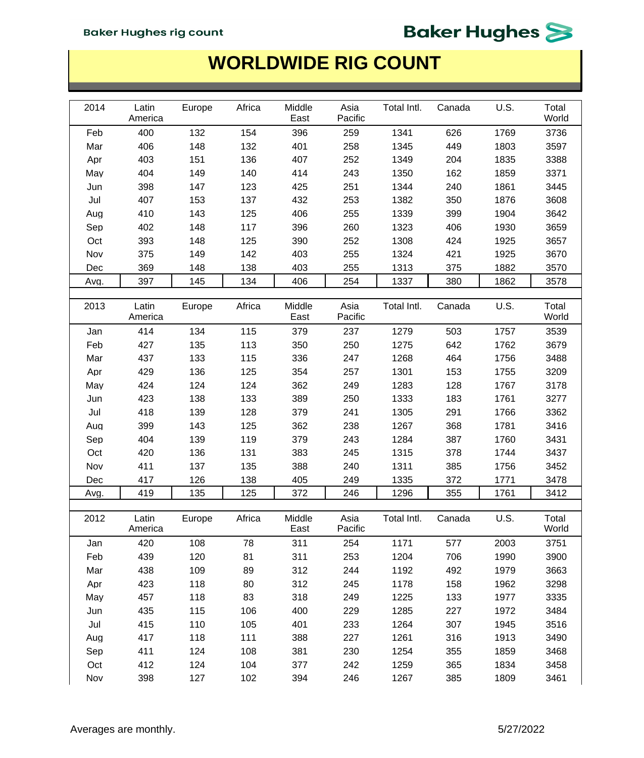| 2014 | Latin<br>America | Europe | Africa | Middle<br>East | Asia<br>Pacific | Total Intl. | Canada | U.S. | Total<br>World |
|------|------------------|--------|--------|----------------|-----------------|-------------|--------|------|----------------|
| Feb  | 400              | 132    | 154    | 396            | 259             | 1341        | 626    | 1769 | 3736           |
| Mar  | 406              | 148    | 132    | 401            | 258             | 1345        | 449    | 1803 | 3597           |
| Apr  | 403              | 151    | 136    | 407            | 252             | 1349        | 204    | 1835 | 3388           |
| May  | 404              | 149    | 140    | 414            | 243             | 1350        | 162    | 1859 | 3371           |
| Jun  | 398              | 147    | 123    | 425            | 251             | 1344        | 240    | 1861 | 3445           |
| Jul  | 407              | 153    | 137    | 432            | 253             | 1382        | 350    | 1876 | 3608           |
| Aug  | 410              | 143    | 125    | 406            | 255             | 1339        | 399    | 1904 | 3642           |
| Sep  | 402              | 148    | 117    | 396            | 260             | 1323        | 406    | 1930 | 3659           |
| Oct  | 393              | 148    | 125    | 390            | 252             | 1308        | 424    | 1925 | 3657           |
| Nov  | 375              | 149    | 142    | 403            | 255             | 1324        | 421    | 1925 | 3670           |
| Dec  | 369              | 148    | 138    | 403            | 255             | 1313        | 375    | 1882 | 3570           |
| Avg. | 397              | 145    | 134    | 406            | 254             | 1337        | 380    | 1862 | 3578           |
|      |                  |        |        |                |                 |             |        |      |                |
| 2013 | Latin<br>America | Europe | Africa | Middle<br>East | Asia<br>Pacific | Total Intl. | Canada | U.S. | Total<br>World |
| Jan  | 414              | 134    | 115    | 379            | 237             | 1279        | 503    | 1757 | 3539           |
| Feb  | 427              | 135    | 113    | 350            | 250             | 1275        | 642    | 1762 | 3679           |
| Mar  | 437              | 133    | 115    | 336            | 247             | 1268        | 464    | 1756 | 3488           |
| Apr  | 429              | 136    | 125    | 354            | 257             | 1301        | 153    | 1755 | 3209           |
| May  | 424              | 124    | 124    | 362            | 249             | 1283        | 128    | 1767 | 3178           |
| Jun  | 423              | 138    | 133    | 389            | 250             | 1333        | 183    | 1761 | 3277           |
| Jul  | 418              | 139    | 128    | 379            | 241             | 1305        | 291    | 1766 | 3362           |
| Aug  | 399              | 143    | 125    | 362            | 238             | 1267        | 368    | 1781 | 3416           |
| Sep  | 404              | 139    | 119    | 379            | 243             | 1284        | 387    | 1760 | 3431           |
| Oct  | 420              | 136    | 131    | 383            | 245             | 1315        | 378    | 1744 | 3437           |
| Nov  | 411              | 137    | 135    | 388            | 240             | 1311        | 385    | 1756 | 3452           |
| Dec  | 417              | 126    | 138    | 405            | 249             | 1335        | 372    | 1771 | 3478           |
| Avg. | 419              | 135    | 125    | 372            | 246             | 1296        | 355    | 1761 | 3412           |
|      |                  |        |        |                |                 |             |        |      |                |
| 2012 | Latin<br>America | Europe | Africa | Middle<br>East | Asia<br>Pacific | Total Intl. | Canada | U.S. | Total<br>World |
| Jan  | 420              | 108    | 78     | 311            | 254             | 1171        | 577    | 2003 | 3751           |
| Feb  | 439              | 120    | 81     | 311            | 253             | 1204        | 706    | 1990 | 3900           |
| Mar  | 438              | 109    | 89     | 312            | 244             | 1192        | 492    | 1979 | 3663           |
| Apr  | 423              | 118    | 80     | 312            | 245             | 1178        | 158    | 1962 | 3298           |
| May  | 457              | 118    | 83     | 318            | 249             | 1225        | 133    | 1977 | 3335           |
| Jun  | 435              | 115    | 106    | 400            | 229             | 1285        | 227    | 1972 | 3484           |
| Jul  | 415              | 110    | 105    | 401            | 233             | 1264        | 307    | 1945 | 3516           |
| Aug  | 417              | 118    | 111    | 388            | 227             | 1261        | 316    | 1913 | 3490           |
| Sep  | 411              | 124    | 108    | 381            | 230             | 1254        | 355    | 1859 | 3468           |
| Oct  | 412              | 124    | 104    | 377            | 242             | 1259        | 365    | 1834 | 3458           |
| Nov  | 398              | 127    | 102    | 394            | 246             | 1267        | 385    | 1809 | 3461           |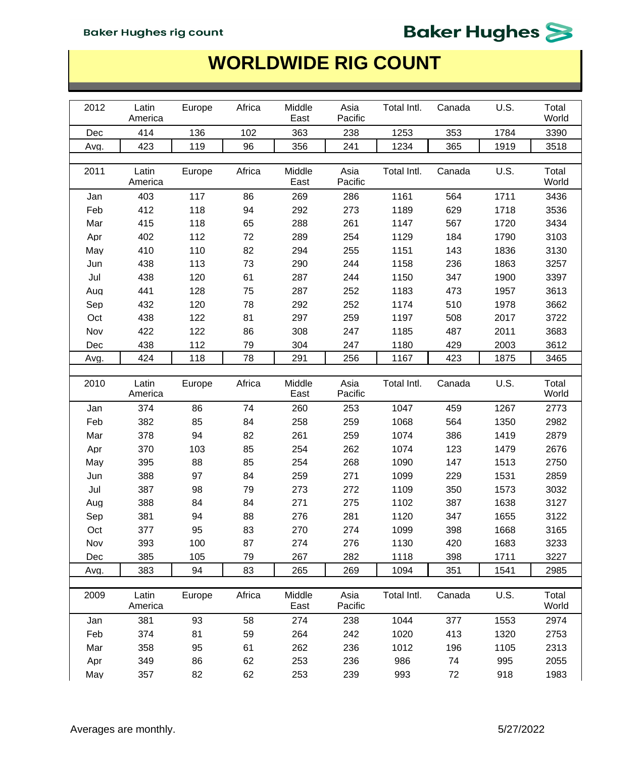| 2012 |                  |        | Africa | Middle         | Asia            | Total Intl. | Canada | U.S. | Total          |
|------|------------------|--------|--------|----------------|-----------------|-------------|--------|------|----------------|
|      | Latin<br>America | Europe |        | East           | Pacific         |             |        |      | World          |
| Dec  | 414              | 136    | 102    | 363            | 238             | 1253        | 353    | 1784 | 3390           |
| Avg. | 423              | 119    | 96     | 356            | 241             | 1234        | 365    | 1919 | 3518           |
|      |                  |        |        |                |                 |             |        |      |                |
| 2011 | Latin<br>America | Europe | Africa | Middle<br>East | Asia<br>Pacific | Total Intl. | Canada | U.S. | Total<br>World |
| Jan  | 403              | 117    | 86     | 269            | 286             | 1161        | 564    | 1711 | 3436           |
| Feb  | 412              | 118    | 94     | 292            | 273             | 1189        | 629    | 1718 | 3536           |
| Mar  | 415              | 118    | 65     | 288            | 261             | 1147        | 567    | 1720 | 3434           |
| Apr  | 402              | 112    | 72     | 289            | 254             | 1129        | 184    | 1790 | 3103           |
| May  | 410              | 110    | 82     | 294            | 255             | 1151        | 143    | 1836 | 3130           |
| Jun  | 438              | 113    | 73     | 290            | 244             | 1158        | 236    | 1863 | 3257           |
| Jul  | 438              | 120    | 61     | 287            | 244             | 1150        | 347    | 1900 | 3397           |
| Aug  | 441              | 128    | 75     | 287            | 252             | 1183        | 473    | 1957 | 3613           |
| Sep  | 432              | 120    | 78     | 292            | 252             | 1174        | 510    | 1978 | 3662           |
| Oct  | 438              | 122    | 81     | 297            | 259             | 1197        | 508    | 2017 | 3722           |
| Nov  | 422              | 122    | 86     | 308            | 247             | 1185        | 487    | 2011 | 3683           |
| Dec  | 438              | 112    | 79     | 304            | 247             | 1180        | 429    | 2003 | 3612           |
| Avg. | 424              | 118    | 78     | 291            | 256             | 1167        | 423    | 1875 | 3465           |
|      |                  |        |        |                |                 |             |        |      |                |
| 2010 | Latin            | Europe | Africa | Middle         | Asia            | Total Intl. | Canada | U.S. | Total          |
|      | America          |        |        | East           | Pacific         |             |        |      | World          |
| Jan  | 374              | 86     | 74     | 260            | 253             | 1047        | 459    | 1267 | 2773           |
| Feb  | 382              | 85     | 84     | 258            | 259             | 1068        | 564    | 1350 | 2982           |
| Mar  | 378              | 94     | 82     | 261            | 259             | 1074        | 386    | 1419 | 2879           |
| Apr  | 370              | 103    | 85     | 254            | 262             | 1074        | 123    | 1479 | 2676           |
| May  | 395              | 88     | 85     | 254            | 268             | 1090        | 147    | 1513 | 2750           |
| Jun  | 388              | 97     | 84     | 259            | 271             | 1099        | 229    | 1531 | 2859           |
| Jul  | 387              | 98     | 79     | 273            | 272             | 1109        | 350    | 1573 | 3032           |
| Aug  | 388              | 84     | 84     | 271            | 275             | 1102        | 387    | 1638 | 3127           |
| Sep  | 381              | 94     | 88     | 276            | 281             | 1120        | 347    | 1655 | 3122           |
| Oct  | 377              | 95     | 83     | 270            | 274             | 1099        | 398    | 1668 | 3165           |
| Nov  | 393              | 100    | 87     | 274            | 276             | 1130        | 420    | 1683 | 3233           |
| Dec  | 385              | 105    | 79     | 267            | 282             | 1118        | 398    | 1711 | 3227           |
| Avg. | 383              | 94     | 83     | 265            | 269             | 1094        | 351    | 1541 | 2985           |
|      |                  |        |        |                |                 |             |        |      |                |
| 2009 | Latin<br>America | Europe | Africa | Middle<br>East | Asia<br>Pacific | Total Intl. | Canada | U.S. | Total<br>World |
| Jan  | 381              | 93     | 58     | 274            | 238             | 1044        | 377    | 1553 | 2974           |
| Feb  | 374              | 81     | 59     | 264            | 242             | 1020        | 413    | 1320 | 2753           |
| Mar  | 358              | 95     | 61     | 262            | 236             | 1012        | 196    | 1105 | 2313           |
| Apr  | 349              | 86     | 62     | 253            | 236             | 986         | 74     | 995  | 2055           |
| May  | 357              | 82     | 62     | 253            | 239             | 993         | 72     | 918  | 1983           |